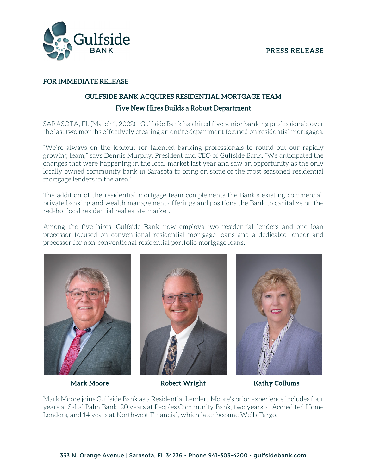

#### FOR IMMEDIATE RELEASE

# GULFSIDE BANK ACQUIRES RESIDENTIAL MORTGAGE TEAM Five New Hires Builds a Robust Department

SARASOTA, FL (March 1, 2022)—Gulfside Bank has hired five senior banking professionals over the last two months effectively creating an entire department focused on residential mortgages.

 changes that were happening in the local market last year and saw an opportunity as the only "We're always on the lookout for talented banking professionals to round out our rapidly growing team," says Dennis Murphy, President and CEO of Gulfside Bank. "We anticipated the locally owned community bank in Sarasota to bring on some of the most seasoned residential mortgage lenders in the area."

The addition of the residential mortgage team complements the Bank's existing commercial, private banking and wealth management offerings and positions the Bank to capitalize on the red-hot local residential real estate market.

Among the five hires, Gulfside Bank now employs two residential lenders and one loan processor focused on conventional residential mortgage loans and a dedicated lender and processor for non-conventional residential portfolio mortgage loans:



Mark Moore **Robert Wright** Kathy Collums

Mark Moore joins Gulfside Bank as a Residential Lender. Moore's prior experience includes four years at Sabal Palm Bank, 20 years at Peoples Community Bank, two years at Accredited Home Lenders, and 14 years at Northwest Financial, which later became Wells Fargo.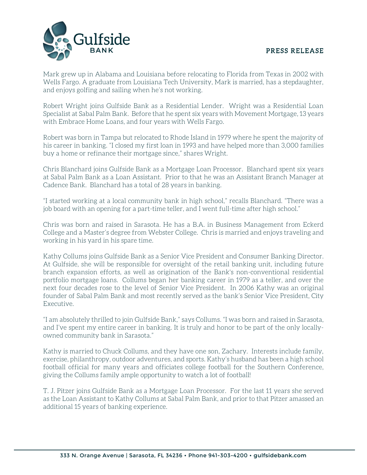



Mark grew up in Alabama and Louisiana before relocating to Florida from Texas in 2002 with Wells Fargo. A graduate from Louisiana Tech University, Mark is married, has a stepdaughter, and enjoys golfing and sailing when he's not working.

Robert Wright joins Gulfside Bank as a Residential Lender. Wright was a Residential Loan Specialist at Sabal Palm Bank. Before that he spent six years with Movement Mortgage, 13 years with Embrace Home Loans, and four years with Wells Fargo.

Robert was born in Tampa but relocated to Rhode Island in 1979 where he spent the majority of his career in banking. "I closed my first loan in 1993 and have helped more than 3,000 families buy a home or refinance their mortgage since," shares Wright.

Chris Blanchard joins Gulfside Bank as a Mortgage Loan Processor. Blanchard spent six years at Sabal Palm Bank as a Loan Assistant. Prior to that he was an Assistant Branch Manager at Cadence Bank. Blanchard has a total of 28 years in banking.

"I started working at a local community bank in high school," recalls Blanchard. "There was a job board with an opening for a part-time teller, and I went full-time after high school."

Chris was born and raised in Sarasota. He has a B.A. in Business Management from Eckerd College and a Master's degree from Webster College. Chris is married and enjoys traveling and working in his yard in his spare time.

 next four decades rose to the level of Senior Vice President. In 2006 Kathy was an original Kathy Collums joins Gulfside Bank as a Senior Vice President and Consumer Banking Director. At Gulfside, she will be responsible for oversight of the retail banking unit, including future branch expansion efforts, as well as origination of the Bank's non-conventional residential portfolio mortgage loans. Collums began her banking career in 1979 as a teller, and over the founder of Sabal Palm Bank and most recently served as the bank's Senior Vice President, City Executive.

"I am absolutely thrilled to join Gulfside Bank," says Collums. "I was born and raised in Sarasota, and I've spent my entire career in banking. It is truly and honor to be part of the only locallyowned community bank in Sarasota."

Kathy is married to Chuck Collums, and they have one son, Zachary. Interests include family, exercise, philanthropy, outdoor adventures, and sports. Kathy's husband has been a high school football official for many years and officiates college football for the Southern Conference, giving the Collums family ample opportunity to watch a lot of football!

 T. J. Pitzer joins Gulfside Bank as a Mortgage Loan Processor. For the last 11 years she served as the Loan Assistant to Kathy Collums at Sabal Palm Bank, and prior to that Pitzer amassed an additional 15 years of banking experience.